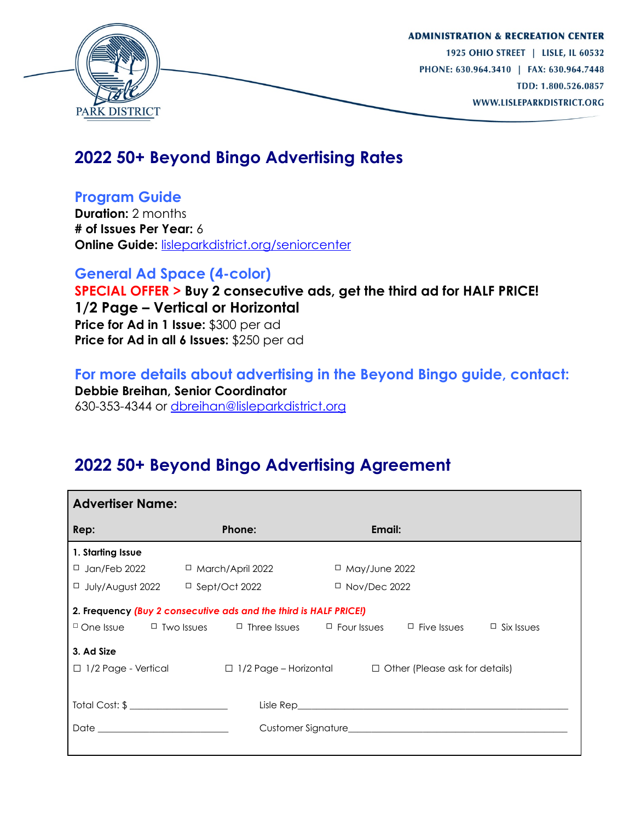

## **2022 50+ Beyond Bingo Advertising Rates**

**Program Guide** 

**Duration:** 2 months **# of Issues Per Year:** 6 **Online Guide:** [lisleparkdistrict.org/seniorcenter](http://www.lisleparkdistrict.org/seniorcenter.html)

**General Ad Space (4-color) SPECIAL OFFER > Buy 2 consecutive ads, get the third ad for HALF PRICE! 1/2 Page – Vertical or Horizontal Price for Ad in 1 Issue:** \$300 per ad **Price for Ad in all 6 Issues:** \$250 per ad

**For more details about advertising in the Beyond Bingo guide, contact: Debbie Breihan, Senior Coordinator**  630-353-4344 or [dbreihan@lisleparkdistrict.org](mailto:dbreihan@lisleparkdistrict.org)

# **2022 50+ Beyond Bingo Advertising Agreement**

| <b>Advertiser Name:</b>                                                                                                                                                                                                                                                                                     |                      |                      |
|-------------------------------------------------------------------------------------------------------------------------------------------------------------------------------------------------------------------------------------------------------------------------------------------------------------|----------------------|----------------------|
| Rep:                                                                                                                                                                                                                                                                                                        | Phone:               | Email:               |
| 1. Starting Issue                                                                                                                                                                                                                                                                                           |                      |                      |
| $\Box$ Jan/Feb 2022                                                                                                                                                                                                                                                                                         | □ March/April 2022   | $\Box$ May/June 2022 |
| □ July/August 2022                                                                                                                                                                                                                                                                                          | $\Box$ Sept/Oct 2022 | $\Box$ Nov/Dec 2022  |
| 2. Frequency (Buy 2 consecutive ads and the third is HALF PRICE!)<br>$\Box$ One Issue $\Box$ Two Issues $\Box$ Three Issues $\Box$ Four Issues<br>$\Box$ Five Issues<br>$\Box$ Six Issues<br>3. Ad Size<br>$\Box$ 1/2 Page - Vertical $\Box$ 1/2 Page – Horizontal<br>$\Box$ Other (Please ask for details) |                      |                      |
| Total Cost: \$ _____________________<br>Date and the contract of the contract of the contract of the contract of the contract of the contract of the contract of the contract of the contract of the contract of the contract of the contract of the contract of the c                                      |                      |                      |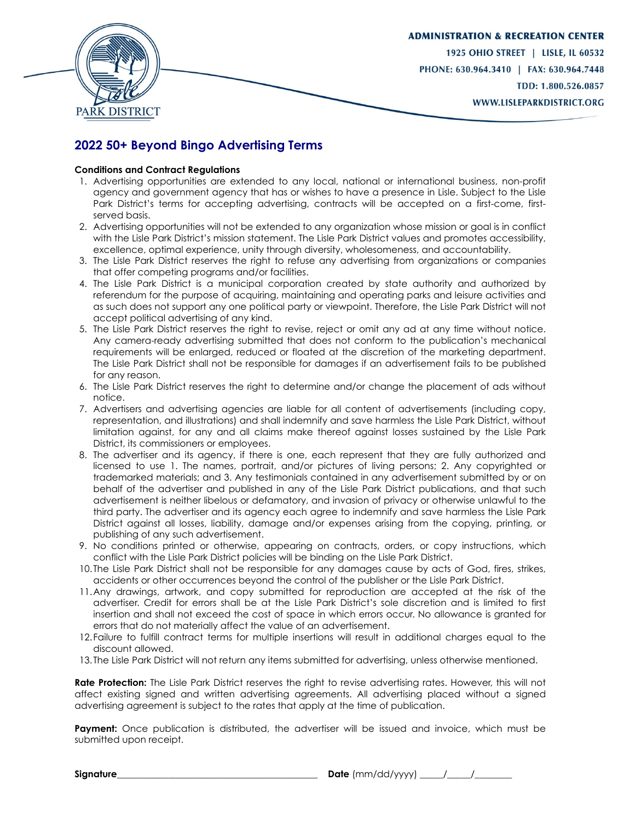

### **2022 50+ Beyond Bingo Advertising Terms**

#### **Conditions and Contract Regulations**

- 1. Advertising opportunities are extended to any local, national or international business, non-profit agency and government agency that has or wishes to have a presence in Lisle. Subject to the Lisle Park District's terms for accepting advertising, contracts will be accepted on a first-come, firstserved basis.
- 2. Advertising opportunities will not be extended to any organization whose mission or goal is in conflict with the Lisle Park District's mission statement. The Lisle Park District values and promotes accessibility, excellence, optimal experience, unity through diversity, wholesomeness, and accountability.
- 3. The Lisle Park District reserves the right to refuse any advertising from organizations or companies that offer competing programs and/or facilities.
- 4. The Lisle Park District is a municipal corporation created by state authority and authorized by referendum for the purpose of acquiring, maintaining and operating parks and leisure activities and as such does not support any one political party or viewpoint. Therefore, the Lisle Park District will not accept political advertising of any kind.
- 5. The Lisle Park District reserves the right to revise, reject or omit any ad at any time without notice. Any camera-ready advertising submitted that does not conform to the publication's mechanical requirements will be enlarged, reduced or floated at the discretion of the marketing department. The Lisle Park District shall not be responsible for damages if an advertisement fails to be published for any reason.
- 6. The Lisle Park District reserves the right to determine and/or change the placement of ads without notice.
- 7. Advertisers and advertising agencies are liable for all content of advertisements (including copy, representation, and illustrations) and shall indemnify and save harmless the Lisle Park District, without limitation against, for any and all claims make thereof against losses sustained by the Lisle Park District, its commissioners or employees.
- 8. The advertiser and its agency, if there is one, each represent that they are fully authorized and licensed to use 1. The names, portrait, and/or pictures of living persons; 2. Any copyrighted or trademarked materials; and 3. Any testimonials contained in any advertisement submitted by or on behalf of the advertiser and published in any of the Lisle Park District publications, and that such advertisement is neither libelous or defamatory, and invasion of privacy or otherwise unlawful to the third party. The advertiser and its agency each agree to indemnify and save harmless the Lisle Park District against all losses, liability, damage and/or expenses arising from the copying, printing, or publishing of any such advertisement.
- 9. No conditions printed or otherwise, appearing on contracts, orders, or copy instructions, which conflict with the Lisle Park District policies will be binding on the Lisle Park District.
- 10. The Lisle Park District shall not be responsible for any damages cause by acts of God, fires, strikes, accidents or other occurrences beyond the control of the publisher or the Lisle Park District.
- 11.Any drawings, artwork, and copy submitted for reproduction are accepted at the risk of the advertiser. Credit for errors shall be at the Lisle Park District's sole discretion and is limited to first insertion and shall not exceed the cost of space in which errors occur. No allowance is granted for errors that do not materially affect the value of an advertisement.
- 12.Failure to fulfill contract terms for multiple insertions will result in additional charges equal to the discount allowed.
- 13. The Lisle Park District will not return any items submitted for advertising, unless otherwise mentioned.

**Rate Protection:** The Lisle Park District reserves the right to revise advertising rates. However, this will not affect existing signed and written advertising agreements. All advertising placed without a signed advertising agreement is subject to the rates that apply at the time of publication.

**Payment:** Once publication is distributed, the advertiser will be issued and invoice, which must be submitted upon receipt.

**Signature**\_\_\_\_\_\_\_\_\_\_\_\_\_\_\_\_\_\_\_\_\_\_\_\_\_\_\_\_\_\_\_\_\_\_\_\_\_\_\_\_\_\_\_ **Date** (mm/dd/yyyy) \_\_\_\_\_/\_\_\_\_\_/\_\_\_\_\_\_\_\_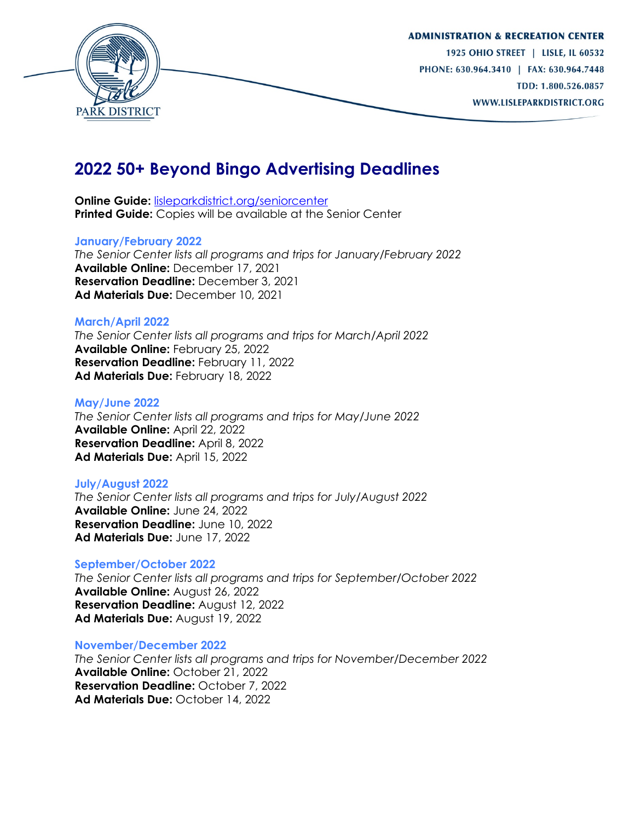

### **2022 50+ Beyond Bingo Advertising Deadlines**

**Online Guide:** [lisleparkdistrict.org/seniorcenter](http://www.lisleparkdistrict.org/seniorcenter.html) **Printed Guide:** Copies will be available at the Senior Center

#### **January/February 2022**

*The Senior Center lists all programs and trips for January/February 2022* **Available Online:** December 17, 2021 **Reservation Deadline:** December 3, 2021 **Ad Materials Due:** December 10, 2021

#### **March/April 2022**

*The Senior Center lists all programs and trips for March/April 2022* **Available Online:** February 25, 2022 **Reservation Deadline:** February 11, 2022 Ad Materials Due: February 18, 2022

#### **May/June 2022**

*The Senior Center lists all programs and trips for May/June 2022* **Available Online:** April 22, 2022 **Reservation Deadline:** April 8, 2022 **Ad Materials Due:** April 15, 2022

#### **July/August 2022**

*The Senior Center lists all programs and trips for July/August 2022* **Available Online:** June 24, 2022 **Reservation Deadline:** June 10, 2022 **Ad Materials Due:** June 17, 2022

#### **September/October 2022**

*The Senior Center lists all programs and trips for September/October 2022* **Available Online:** August 26, 2022 **Reservation Deadline:** August 12, 2022 **Ad Materials Due:** August 19, 2022

#### **November/December 2022**

*The Senior Center lists all programs and trips for November/December 2022* **Available Online:** October 21, 2022 **Reservation Deadline:** October 7, 2022 **Ad Materials Due:** October 14, 2022